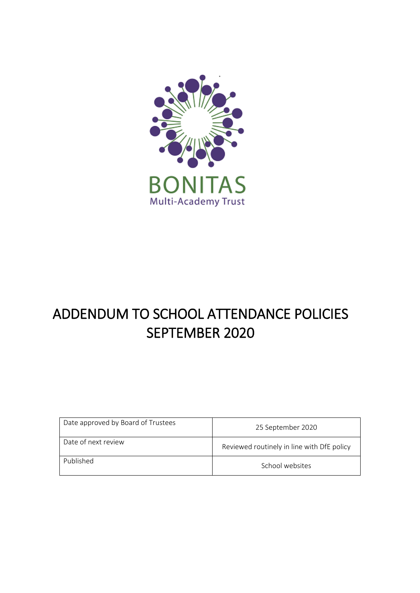

# ADDENDUM TO SCHOOL ATTENDANCE POLICIES SEPTEMBER 2020

| Date approved by Board of Trustees | 25 September 2020                          |
|------------------------------------|--------------------------------------------|
| Date of next review                | Reviewed routinely in line with DfE policy |
| Published                          | School websites                            |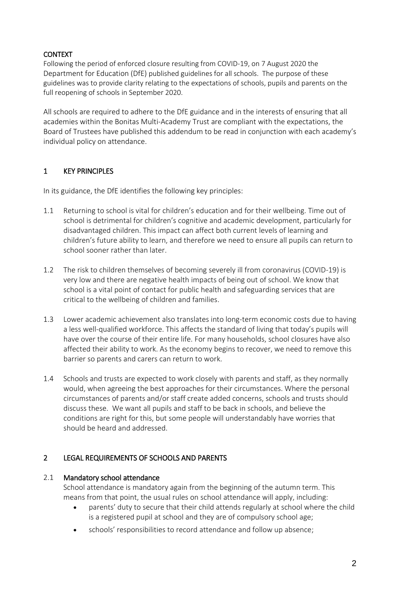## **CONTEXT**

Following the period of enforced closure resulting from COVID-19, on 7 August 2020 the Department for Education (DfE) published guidelines for all schools. The purpose of these guidelines was to provide clarity relating to the expectations of schools, pupils and parents on the full reopening of schools in September 2020.

All schools are required to adhere to the DfE guidance and in the interests of ensuring that all academies within the Bonitas Multi-Academy Trust are compliant with the expectations, the Board of Trustees have published this addendum to be read in conjunction with each academy's individual policy on attendance.

## 1 KEY PRINCIPLES

In its guidance, the DfE identifies the following key principles:

- 1.1 Returning to school is vital for children's education and for their wellbeing. Time out of school is detrimental for children's cognitive and academic development, particularly for disadvantaged children. This impact can affect both current levels of learning and children's future ability to learn, and therefore we need to ensure all pupils can return to school sooner rather than later.
- 1.2 The risk to children themselves of becoming severely ill from coronavirus (COVID-19) is very low and there are negative health impacts of being out of school. We know that school is a vital point of contact for public health and safeguarding services that are critical to the wellbeing of children and families.
- 1.3 Lower academic achievement also translates into long-term economic costs due to having a less well-qualified workforce. This affects the standard of living that today's pupils will have over the course of their entire life. For many households, school closures have also affected their ability to work. As the economy begins to recover, we need to remove this barrier so parents and carers can return to work.
- 1.4 Schools and trusts are expected to work closely with parents and staff, as they normally would, when agreeing the best approaches for their circumstances. Where the personal circumstances of parents and/or staff create added concerns, schools and trusts should discuss these. We want all pupils and staff to be back in schools, and believe the conditions are right for this, but some people will understandably have worries that should be heard and addressed.

## 2 LEGAL REQUIREMENTS OF SCHOOLS AND PARENTS

#### 2.1 Mandatory school attendance

School attendance is mandatory again from the beginning of the autumn term. This means from that point, the usual rules on school attendance will apply, including:

- parents' duty to secure that their child attends regularly at school where the child is a registered pupil at school and they are of compulsory school age;
- schools' responsibilities to record attendance and follow up absence;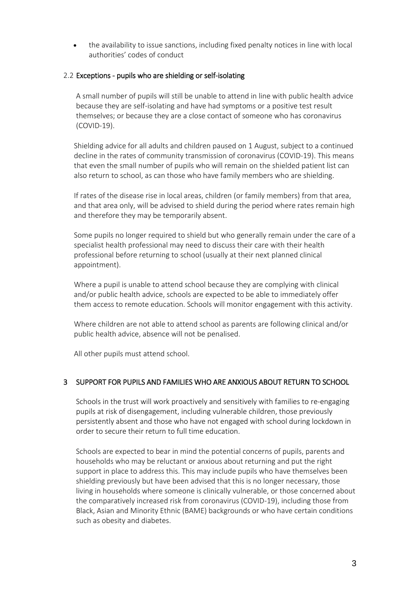• the availability to issue sanctions, including fixed penalty notices in line with local authorities' codes of conduct

### 2.2 Exceptions - pupils who are shielding or self-isolating

A small number of pupils will still be unable to attend in line with public health advice because they are self-isolating and have had symptoms or a positive test result themselves; or because they are a close contact of someone who has coronavirus (COVID-19).

Shielding advice for all adults and children paused on 1 August, subject to a continued decline in the rates of community transmission of coronavirus (COVID-19). This means that even the small number of pupils who will remain on the shielded patient list can also return to school, as can those who have family members who are shielding.

If rates of the disease rise in local areas, children (or family members) from that area, and that area only, will be advised to shield during the period where rates remain high and therefore they may be temporarily absent.

Some pupils no longer required to shield but who generally remain under the care of a specialist health professional may need to discuss their care with their health professional before returning to school (usually at their next planned clinical appointment).

Where a pupil is unable to attend school because they are complying with clinical and/or public health advice, schools are expected to be able to immediately offer them access to remote education. Schools will monitor engagement with this activity.

Where children are not able to attend school as parents are following clinical and/or public health advice, absence will not be penalised.

All other pupils must attend school.

## 3 SUPPORT FOR PUPILS AND FAMILIES WHO ARE ANXIOUS ABOUT RETURN TO SCHOOL

Schools in the trust will work proactively and sensitively with families to re-engaging pupils at risk of disengagement, including vulnerable children, those previously persistently absent and those who have not engaged with school during lockdown in order to secure their return to full time education.

Schools are expected to bear in mind the potential concerns of pupils, parents and households who may be reluctant or anxious about returning and put the right support in place to address this. This may include pupils who have themselves been shielding previously but have been advised that this is no longer necessary, those living in households where someone is clinically vulnerable, or those concerned about the comparatively increased risk from coronavirus (COVID-19), including those from Black, Asian and Minority Ethnic (BAME) backgrounds or who have certain conditions such as obesity and diabetes.